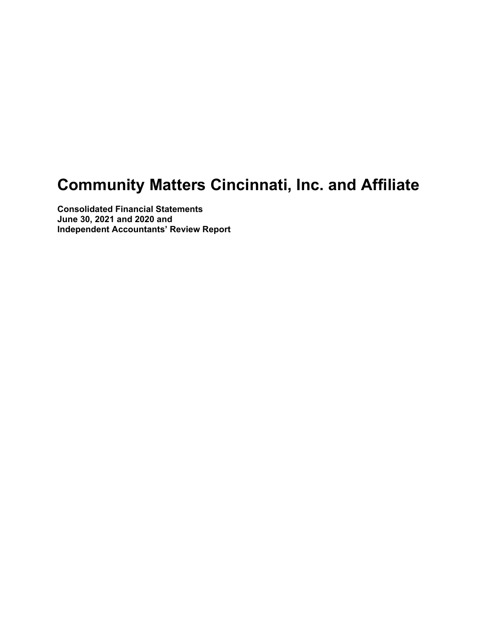# **Community Matters Cincinnati, Inc. and Affiliate**

**Consolidated Financial Statements June 30, 2021 and 2020 and Independent Accountants' Review Report**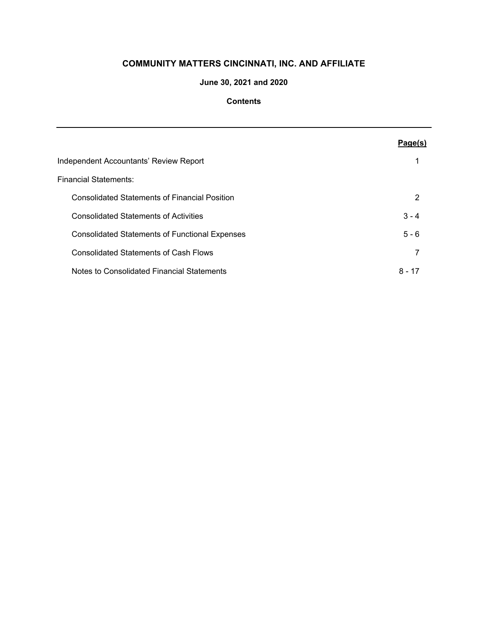# **June 30, 2021 and 2020**

# **Contents**

|                                                       | Page(s) |
|-------------------------------------------------------|---------|
| Independent Accountants' Review Report                |         |
| Financial Statements:                                 |         |
| Consolidated Statements of Financial Position         | 2       |
| <b>Consolidated Statements of Activities</b>          | $3 - 4$ |
| <b>Consolidated Statements of Functional Expenses</b> | $5 - 6$ |
| <b>Consolidated Statements of Cash Flows</b>          | 7       |
| Notes to Consolidated Financial Statements            | 8 - 17  |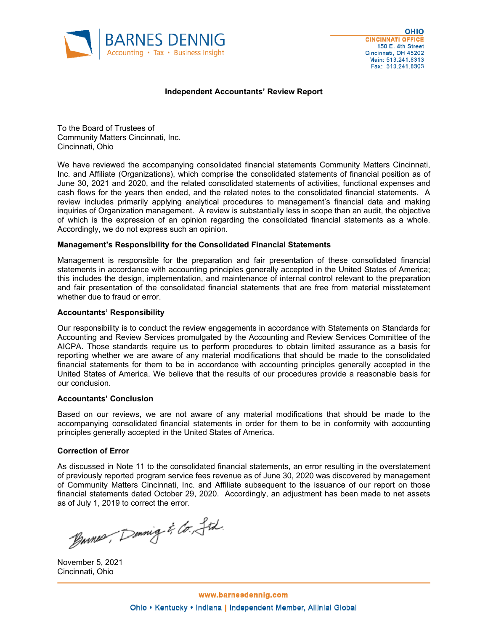

**OHIO CINCINNATI OFFICE** 150 E. 4th Street Cincinnati, OH 45202 Main: 513.241.8313 Fax: 513.241.8303

#### **Independent Accountants' Review Report**

To the Board of Trustees of Community Matters Cincinnati, Inc. Cincinnati, Ohio

We have reviewed the accompanying consolidated financial statements Community Matters Cincinnati, Inc. and Affiliate (Organizations), which comprise the consolidated statements of financial position as of June 30, 2021 and 2020, and the related consolidated statements of activities, functional expenses and cash flows for the years then ended, and the related notes to the consolidated financial statements. A review includes primarily applying analytical procedures to management's financial data and making inquiries of Organization management. A review is substantially less in scope than an audit, the objective of which is the expression of an opinion regarding the consolidated financial statements as a whole. Accordingly, we do not express such an opinion.

#### **Management's Responsibility for the Consolidated Financial Statements**

Management is responsible for the preparation and fair presentation of these consolidated financial statements in accordance with accounting principles generally accepted in the United States of America; this includes the design, implementation, and maintenance of internal control relevant to the preparation and fair presentation of the consolidated financial statements that are free from material misstatement whether due to fraud or error.

#### **Accountants' Responsibility**

Our responsibility is to conduct the review engagements in accordance with Statements on Standards for Accounting and Review Services promulgated by the Accounting and Review Services Committee of the AICPA. Those standards require us to perform procedures to obtain limited assurance as a basis for reporting whether we are aware of any material modifications that should be made to the consolidated financial statements for them to be in accordance with accounting principles generally accepted in the United States of America. We believe that the results of our procedures provide a reasonable basis for our conclusion.

#### **Accountants' Conclusion**

Based on our reviews, we are not aware of any material modifications that should be made to the accompanying consolidated financial statements in order for them to be in conformity with accounting principles generally accepted in the United States of America.

#### **Correction of Error**

As discussed in Note 11 to the consolidated financial statements, an error resulting in the overstatement of previously reported program service fees revenue as of June 30, 2020 was discovered by management of Community Matters Cincinnati, Inc. and Affiliate subsequent to the issuance of our report on those financial statements dated October 29, 2020. Accordingly, an adjustment has been made to net assets as of July 1, 2019 to correct the error.

Burnes, Dennig & Co., Std.

November 5, 2021 Cincinnati, Ohio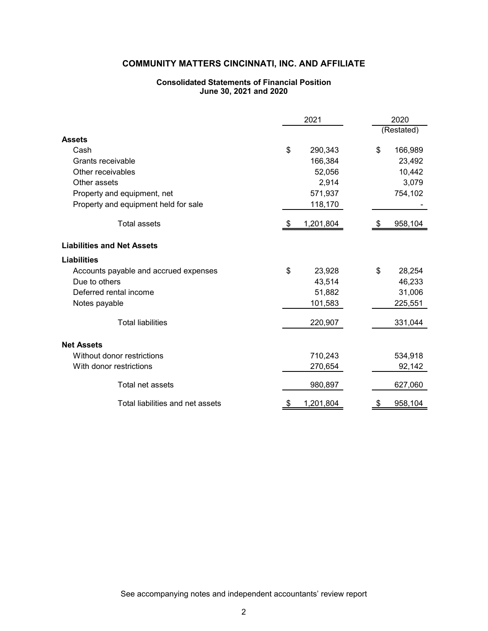## **Consolidated Statements of Financial Position June 30, 2021 and 2020**

|                                       | 2021            | 2020 |            |
|---------------------------------------|-----------------|------|------------|
|                                       |                 |      | (Restated) |
| <b>Assets</b>                         |                 |      |            |
| Cash                                  | \$<br>290,343   | \$   | 166,989    |
| Grants receivable                     | 166,384         |      | 23,492     |
| Other receivables                     | 52,056          |      | 10,442     |
| Other assets                          | 2,914           |      | 3,079      |
| Property and equipment, net           | 571,937         |      | 754,102    |
| Property and equipment held for sale  | 118,170         |      |            |
| <b>Total assets</b>                   | 1,201,804       |      | 958,104    |
| <b>Liabilities and Net Assets</b>     |                 |      |            |
| <b>Liabilities</b>                    |                 |      |            |
| Accounts payable and accrued expenses | \$<br>23,928    | \$   | 28,254     |
| Due to others                         | 43,514          |      | 46,233     |
| Deferred rental income                | 51,882          |      | 31,006     |
| Notes payable                         | 101,583         |      | 225,551    |
| <b>Total liabilities</b>              | 220,907         |      | 331,044    |
| <b>Net Assets</b>                     |                 |      |            |
| Without donor restrictions            | 710,243         |      | 534,918    |
| With donor restrictions               | 270,654         |      | 92,142     |
| Total net assets                      | 980,897         |      | 627,060    |
| Total liabilities and net assets      | \$<br>1,201,804 | \$   | 958,104    |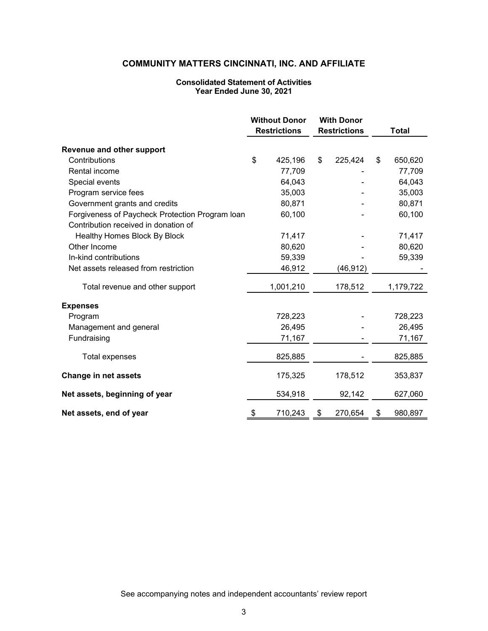## **Consolidated Statement of Activities Year Ended June 30, 2021**

|                                                 | <b>Without Donor</b> |                     | <b>With Donor</b> |                     |               |
|-------------------------------------------------|----------------------|---------------------|-------------------|---------------------|---------------|
|                                                 |                      | <b>Restrictions</b> |                   | <b>Restrictions</b> | <b>Total</b>  |
| Revenue and other support                       |                      |                     |                   |                     |               |
| Contributions                                   | \$                   | 425,196             | \$                | 225,424             | \$<br>650,620 |
| Rental income                                   |                      | 77,709              |                   |                     | 77,709        |
| Special events                                  |                      | 64,043              |                   |                     | 64,043        |
| Program service fees                            |                      | 35,003              |                   |                     | 35,003        |
| Government grants and credits                   |                      | 80,871              |                   |                     | 80,871        |
| Forgiveness of Paycheck Protection Program loan |                      | 60,100              |                   |                     | 60,100        |
| Contribution received in donation of            |                      |                     |                   |                     |               |
| Healthy Homes Block By Block                    |                      | 71,417              |                   |                     | 71,417        |
| Other Income                                    |                      | 80,620              |                   |                     | 80,620        |
| In-kind contributions                           |                      | 59,339              |                   |                     | 59,339        |
| Net assets released from restriction            |                      | 46,912              |                   | (46, 912)           |               |
| Total revenue and other support                 |                      | 1,001,210           |                   | 178,512             | 1,179,722     |
| <b>Expenses</b>                                 |                      |                     |                   |                     |               |
| Program                                         |                      | 728,223             |                   |                     | 728,223       |
| Management and general                          |                      | 26,495              |                   |                     | 26,495        |
| Fundraising                                     |                      | 71,167              |                   |                     | 71,167        |
| Total expenses                                  |                      | 825,885             |                   |                     | 825,885       |
| <b>Change in net assets</b>                     |                      | 175,325             |                   | 178,512             | 353,837       |
| Net assets, beginning of year                   |                      | 534,918             |                   | 92,142              | 627,060       |
| Net assets, end of year                         | \$                   | 710,243             | \$                | 270,654             | \$<br>980,897 |

See accompanying notes and independent accountants' review report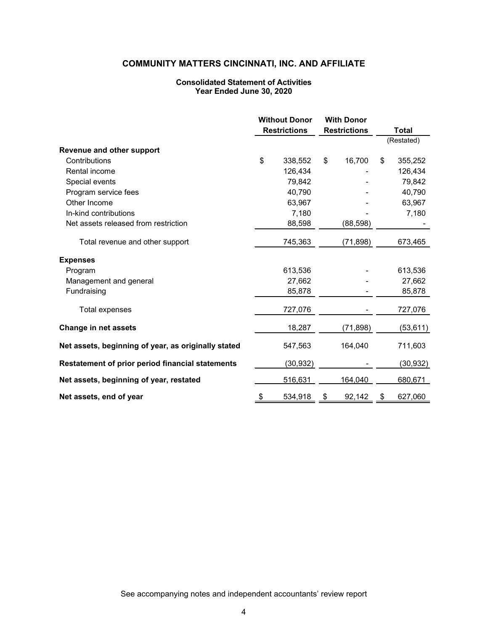## **Consolidated Statement of Activities Year Ended June 30, 2020**

|                                                     | <b>Without Donor</b> |                     | <b>With Donor</b> |                     |    |              |
|-----------------------------------------------------|----------------------|---------------------|-------------------|---------------------|----|--------------|
|                                                     |                      | <b>Restrictions</b> |                   | <b>Restrictions</b> |    | <b>Total</b> |
|                                                     |                      |                     |                   |                     |    | (Restated)   |
| Revenue and other support                           |                      |                     |                   |                     |    |              |
| Contributions                                       | \$                   | 338,552             | \$                | 16,700              | \$ | 355,252      |
| Rental income                                       |                      | 126,434             |                   |                     |    | 126,434      |
| Special events                                      |                      | 79,842              |                   |                     |    | 79,842       |
| Program service fees                                |                      | 40,790              |                   |                     |    | 40,790       |
| Other Income                                        |                      | 63,967              |                   |                     |    | 63,967       |
| In-kind contributions                               |                      | 7,180               |                   |                     |    | 7,180        |
| Net assets released from restriction                |                      | 88,598              |                   | (88, 598)           |    |              |
| Total revenue and other support                     |                      | 745,363             |                   | (71, 898)           |    | 673,465      |
| <b>Expenses</b>                                     |                      |                     |                   |                     |    |              |
| Program                                             |                      | 613,536             |                   |                     |    | 613,536      |
| Management and general                              |                      | 27,662              |                   |                     |    | 27,662       |
| Fundraising                                         |                      | 85,878              |                   |                     |    | 85,878       |
| Total expenses                                      |                      | 727,076             |                   |                     |    | 727,076      |
| <b>Change in net assets</b>                         |                      | 18,287              |                   | (71, 898)           |    | (53, 611)    |
| Net assets, beginning of year, as originally stated |                      | 547,563             |                   | 164,040             |    | 711,603      |
| Restatement of prior period financial statements    |                      | (30,932)            |                   |                     |    | (30,932)     |
| Net assets, beginning of year, restated             |                      | 516,631             |                   | 164,040             |    | 680,671      |
| Net assets, end of year                             | \$                   | 534,918             | \$                | 92,142              | \$ | 627,060      |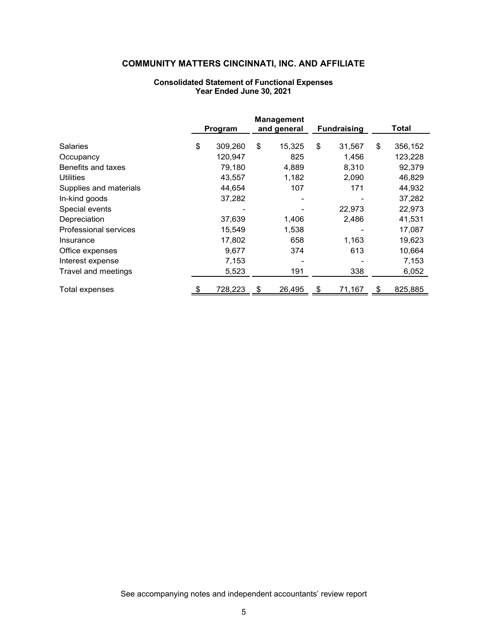# **Consolidated Statement of Functional Expenses Year Ended June 30, 2021**

|                        |               | <b>Management</b> |                    |               |
|------------------------|---------------|-------------------|--------------------|---------------|
|                        | Program       | and general       | <b>Fundraising</b> | <b>Total</b>  |
| <b>Salaries</b>        | \$<br>309,260 | \$<br>15,325      | \$<br>31,567       | \$<br>356,152 |
| Occupancy              | 120,947       | 825               | 1,456              | 123,228       |
| Benefits and taxes     | 79,180        | 4,889             | 8,310              | 92,379        |
| <b>Utilities</b>       | 43,557        | 1,182             | 2,090              | 46,829        |
| Supplies and materials | 44,654        | 107               | 171                | 44,932        |
| In-kind goods          | 37,282        |                   |                    | 37,282        |
| Special events         |               |                   | 22,973             | 22,973        |
| Depreciation           | 37,639        | 1,406             | 2,486              | 41,531        |
| Professional services  | 15,549        | 1,538             |                    | 17,087        |
| Insurance              | 17,802        | 658               | 1,163              | 19,623        |
| Office expenses        | 9,677         | 374               | 613                | 10,664        |
| Interest expense       | 7,153         |                   |                    | 7,153         |
| Travel and meetings    | 5,523         | 191               | 338                | 6,052         |
| Total expenses         | 728,223       | \$<br>26,495      | \$<br>71,167       | \$<br>825,885 |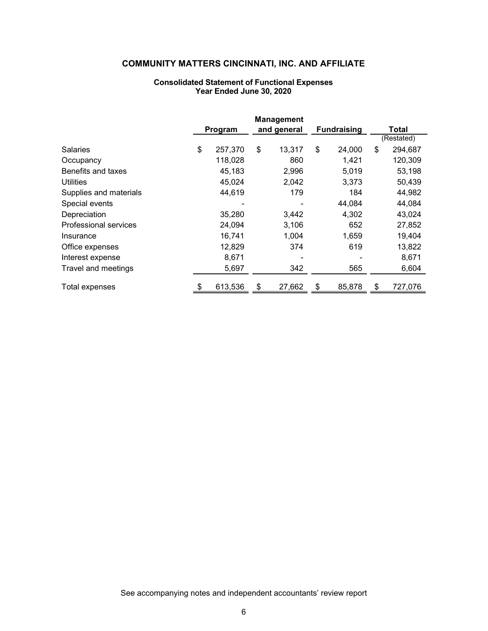# **Consolidated Statement of Functional Expenses Year Ended June 30, 2020**

|                            | <b>Management</b> |         |    |             |    |                    |               |
|----------------------------|-------------------|---------|----|-------------|----|--------------------|---------------|
|                            |                   | Program |    | and general |    | <b>Fundraising</b> | <b>Total</b>  |
|                            |                   |         |    |             |    |                    | (Restated)    |
| <b>Salaries</b>            | \$                | 257,370 | \$ | 13,317      | \$ | 24,000             | \$<br>294,687 |
| Occupancy                  |                   | 118,028 |    | 860         |    | 1,421              | 120,309       |
| Benefits and taxes         |                   | 45,183  |    | 2,996       |    | 5,019              | 53,198        |
| Utilities                  |                   | 45,024  |    | 2,042       |    | 3,373              | 50,439        |
| Supplies and materials     |                   | 44,619  |    | 179         |    | 184                | 44,982        |
| Special events             |                   |         |    |             |    | 44,084             | 44,084        |
| Depreciation               |                   | 35,280  |    | 3,442       |    | 4,302              | 43,024        |
| Professional services      |                   | 24,094  |    | 3,106       |    | 652                | 27,852        |
| Insurance                  |                   | 16,741  |    | 1,004       |    | 1,659              | 19,404        |
| Office expenses            |                   | 12,829  |    | 374         |    | 619                | 13,822        |
| Interest expense           |                   | 8,671   |    |             |    |                    | 8,671         |
| <b>Travel and meetings</b> |                   | 5,697   |    | 342         |    | 565                | 6,604         |
| Total expenses             | \$                | 613,536 | \$ | 27,662      | \$ | 85,878             | \$<br>727,076 |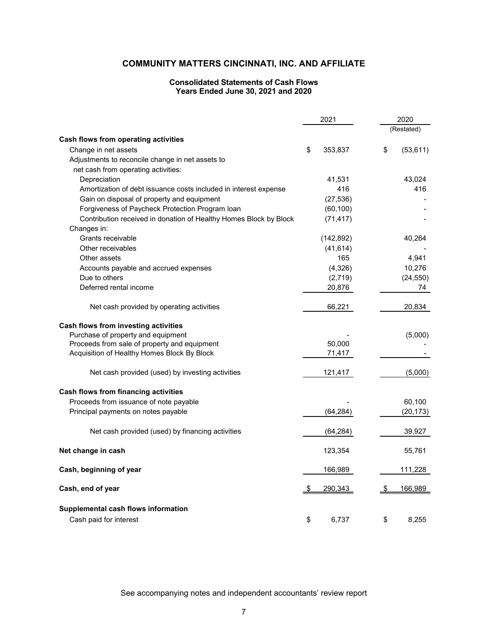# **Consolidated Statements of Cash Flows Years Ended June 30, 2021 and 2020**

|                                                                   |    | 2021       |    | 2020       |  |
|-------------------------------------------------------------------|----|------------|----|------------|--|
|                                                                   |    |            |    | (Restated) |  |
| Cash flows from operating activities                              |    |            |    |            |  |
| Change in net assets                                              | \$ | 353,837    | \$ | (53, 611)  |  |
| Adjustments to reconcile change in net assets to                  |    |            |    |            |  |
| net cash from operating activities:                               |    |            |    |            |  |
| Depreciation                                                      |    | 41,531     |    | 43,024     |  |
| Amortization of debt issuance costs included in interest expense  |    | 416        |    | 416        |  |
| Gain on disposal of property and equipment                        |    | (27, 536)  |    |            |  |
| Forgiveness of Paycheck Protection Program Ioan                   |    | (60, 100)  |    |            |  |
| Contribution received in donation of Healthy Homes Block by Block |    | (71, 417)  |    |            |  |
| Changes in:                                                       |    |            |    |            |  |
| Grants receivable                                                 |    | (142, 892) |    | 40,264     |  |
| Other receivables                                                 |    | (41, 614)  |    |            |  |
| Other assets                                                      |    | 165        |    | 4,941      |  |
| Accounts payable and accrued expenses                             |    | (4,326)    |    | 10,276     |  |
| Due to others                                                     |    | (2,719)    |    | (24, 550)  |  |
| Deferred rental income                                            |    | 20,876     |    | 74         |  |
| Net cash provided by operating activities                         |    | 66,221     |    | 20,834     |  |
| Cash flows from investing activities                              |    |            |    |            |  |
| Purchase of property and equipment                                |    |            |    | (5,000)    |  |
| Proceeds from sale of property and equipment                      |    | 50,000     |    |            |  |
| Acquisition of Healthy Homes Block By Block                       |    | 71,417     |    |            |  |
| Net cash provided (used) by investing activities                  |    | 121,417    |    | (5,000)    |  |
| <b>Cash flows from financing activities</b>                       |    |            |    |            |  |
| Proceeds from issuance of note payable                            |    |            |    | 60,100     |  |
| Principal payments on notes payable                               |    | (64, 284)  |    | (20, 173)  |  |
| Net cash provided (used) by financing activities                  |    | (64, 284)  |    | 39,927     |  |
| Net change in cash                                                |    | 123,354    |    | 55,761     |  |
| Cash, beginning of year                                           |    | 166,989    |    | 111,228    |  |
| Cash, end of year                                                 | æ. | 290,343    | \$ | 166,989    |  |
| Supplemental cash flows information                               |    |            |    |            |  |
| Cash paid for interest                                            | \$ | 6.737      | \$ | 8,255      |  |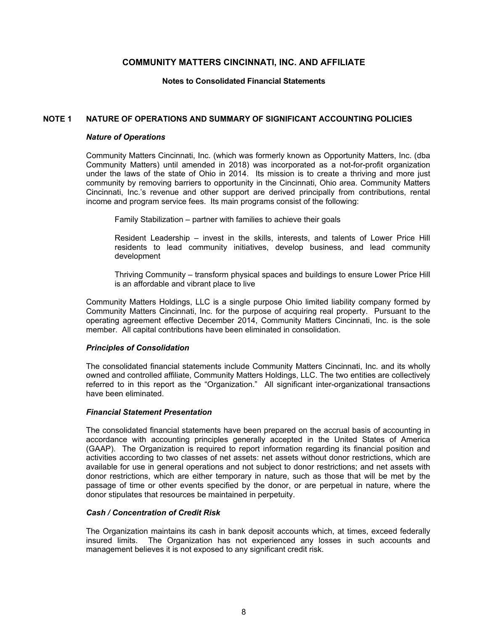#### **Notes to Consolidated Financial Statements**

#### **NOTE 1 NATURE OF OPERATIONS AND SUMMARY OF SIGNIFICANT ACCOUNTING POLICIES**

#### *Nature of Operations*

 Community Matters Cincinnati, Inc. (which was formerly known as Opportunity Matters, Inc. (dba Community Matters) until amended in 2018) was incorporated as a not-for-profit organization under the laws of the state of Ohio in 2014. Its mission is to create a thriving and more just community by removing barriers to opportunity in the Cincinnati, Ohio area. Community Matters Cincinnati, Inc.'s revenue and other support are derived principally from contributions, rental income and program service fees. Its main programs consist of the following:

Family Stabilization – partner with families to achieve their goals

 Resident Leadership – invest in the skills, interests, and talents of Lower Price Hill residents to lead community initiatives, develop business, and lead community development

 Thriving Community – transform physical spaces and buildings to ensure Lower Price Hill is an affordable and vibrant place to live

Community Matters Holdings, LLC is a single purpose Ohio limited liability company formed by Community Matters Cincinnati, Inc. for the purpose of acquiring real property. Pursuant to the operating agreement effective December 2014, Community Matters Cincinnati, Inc. is the sole member. All capital contributions have been eliminated in consolidation.

#### *Principles of Consolidation*

 The consolidated financial statements include Community Matters Cincinnati, Inc. and its wholly owned and controlled affiliate, Community Matters Holdings, LLC. The two entities are collectively referred to in this report as the "Organization." All significant inter-organizational transactions have been eliminated.

#### *Financial Statement Presentation*

The consolidated financial statements have been prepared on the accrual basis of accounting in accordance with accounting principles generally accepted in the United States of America (GAAP). The Organization is required to report information regarding its financial position and activities according to two classes of net assets: net assets without donor restrictions, which are available for use in general operations and not subject to donor restrictions; and net assets with donor restrictions, which are either temporary in nature, such as those that will be met by the passage of time or other events specified by the donor, or are perpetual in nature, where the donor stipulates that resources be maintained in perpetuity.

#### *Cash / Concentration of Credit Risk*

 The Organization maintains its cash in bank deposit accounts which, at times, exceed federally insured limits. The Organization has not experienced any losses in such accounts and management believes it is not exposed to any significant credit risk.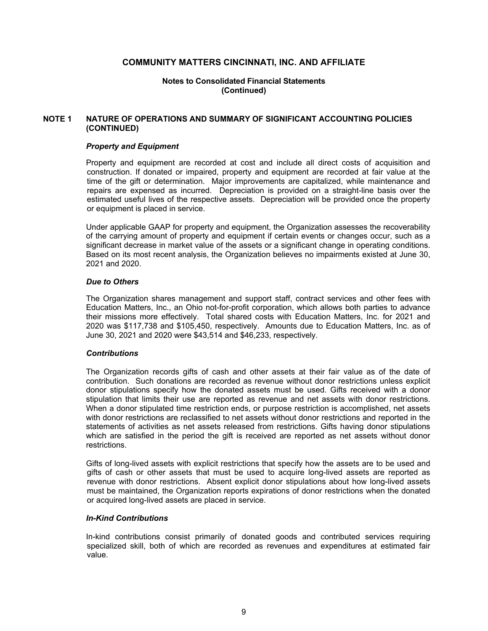#### **Notes to Consolidated Financial Statements (Continued)**

#### **NOTE 1 NATURE OF OPERATIONS AND SUMMARY OF SIGNIFICANT ACCOUNTING POLICIES (CONTINUED)**

#### *Property and Equipment*

 Property and equipment are recorded at cost and include all direct costs of acquisition and construction. If donated or impaired, property and equipment are recorded at fair value at the time of the gift or determination. Major improvements are capitalized, while maintenance and repairs are expensed as incurred. Depreciation is provided on a straight-line basis over the estimated useful lives of the respective assets. Depreciation will be provided once the property or equipment is placed in service.

Under applicable GAAP for property and equipment, the Organization assesses the recoverability of the carrying amount of property and equipment if certain events or changes occur, such as a significant decrease in market value of the assets or a significant change in operating conditions. Based on its most recent analysis, the Organization believes no impairments existed at June 30, 2021 and 2020.

#### *Due to Others*

The Organization shares management and support staff, contract services and other fees with Education Matters, Inc., an Ohio not-for-profit corporation, which allows both parties to advance their missions more effectively. Total shared costs with Education Matters, Inc. for 2021 and 2020 was \$117,738 and \$105,450, respectively. Amounts due to Education Matters, Inc. as of June 30, 2021 and 2020 were \$43,514 and \$46,233, respectively.

#### *Contributions*

The Organization records gifts of cash and other assets at their fair value as of the date of contribution. Such donations are recorded as revenue without donor restrictions unless explicit donor stipulations specify how the donated assets must be used. Gifts received with a donor stipulation that limits their use are reported as revenue and net assets with donor restrictions. When a donor stipulated time restriction ends, or purpose restriction is accomplished, net assets with donor restrictions are reclassified to net assets without donor restrictions and reported in the statements of activities as net assets released from restrictions. Gifts having donor stipulations which are satisfied in the period the gift is received are reported as net assets without donor restrictions.

Gifts of long-lived assets with explicit restrictions that specify how the assets are to be used and gifts of cash or other assets that must be used to acquire long-lived assets are reported as revenue with donor restrictions. Absent explicit donor stipulations about how long-lived assets must be maintained, the Organization reports expirations of donor restrictions when the donated or acquired long-lived assets are placed in service.

#### *In-Kind Contributions*

In-kind contributions consist primarily of donated goods and contributed services requiring specialized skill, both of which are recorded as revenues and expenditures at estimated fair value.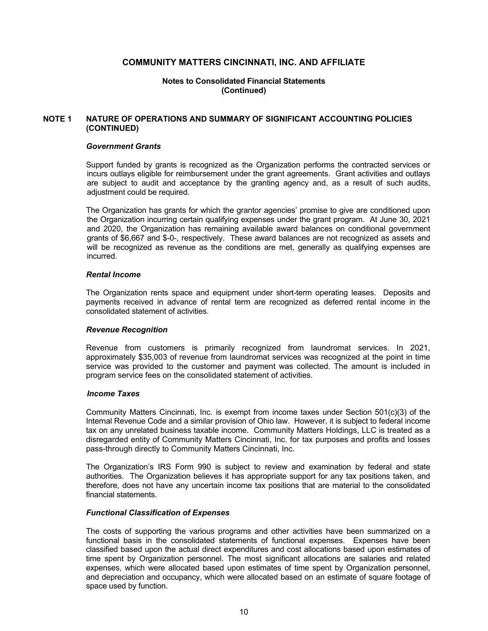#### **Notes to Consolidated Financial Statements (Continued)**

#### **NOTE 1 NATURE OF OPERATIONS AND SUMMARY OF SIGNIFICANT ACCOUNTING POLICIES (CONTINUED)**

#### *Government Grants*

Support funded by grants is recognized as the Organization performs the contracted services or incurs outlays eligible for reimbursement under the grant agreements. Grant activities and outlays are subject to audit and acceptance by the granting agency and, as a result of such audits, adjustment could be required.

 The Organization has grants for which the grantor agencies' promise to give are conditioned upon the Organization incurring certain qualifying expenses under the grant program. At June 30, 2021 and 2020, the Organization has remaining available award balances on conditional government grants of \$6,667 and \$-0-, respectively. These award balances are not recognized as assets and will be recognized as revenue as the conditions are met, generally as qualifying expenses are incurred.

#### *Rental Income*

The Organization rents space and equipment under short-term operating leases. Deposits and payments received in advance of rental term are recognized as deferred rental income in the consolidated statement of activities.

#### *Revenue Recognition*

Revenue from customers is primarily recognized from laundromat services. In 2021, approximately \$35,003 of revenue from laundromat services was recognized at the point in time service was provided to the customer and payment was collected. The amount is included in program service fees on the consolidated statement of activities.

#### *Income Taxes*

 Community Matters Cincinnati, Inc. is exempt from income taxes under Section 501(c)(3) of the Internal Revenue Code and a similar provision of Ohio law. However, it is subject to federal income tax on any unrelated business taxable income. Community Matters Holdings, LLC is treated as a disregarded entity of Community Matters Cincinnati, Inc. for tax purposes and profits and losses pass-through directly to Community Matters Cincinnati, Inc.

 The Organization's IRS Form 990 is subject to review and examination by federal and state authorities. The Organization believes it has appropriate support for any tax positions taken, and therefore, does not have any uncertain income tax positions that are material to the consolidated financial statements.

#### *Functional Classification of Expenses*

 The costs of supporting the various programs and other activities have been summarized on a functional basis in the consolidated statements of functional expenses. Expenses have been classified based upon the actual direct expenditures and cost allocations based upon estimates of time spent by Organization personnel. The most significant allocations are salaries and related expenses, which were allocated based upon estimates of time spent by Organization personnel, and depreciation and occupancy, which were allocated based on an estimate of square footage of space used by function.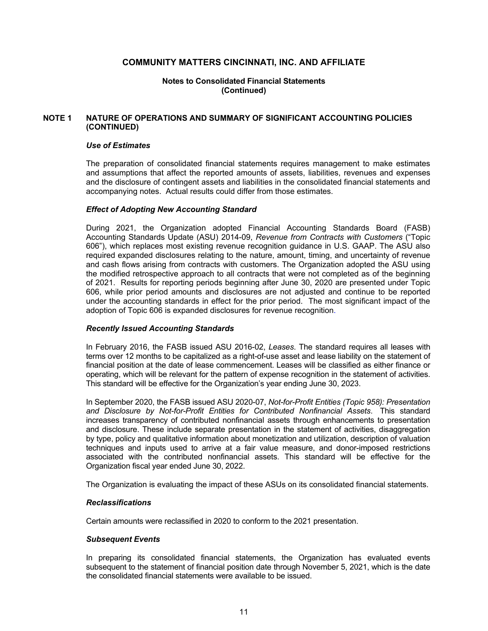#### **Notes to Consolidated Financial Statements (Continued)**

#### **NOTE 1 NATURE OF OPERATIONS AND SUMMARY OF SIGNIFICANT ACCOUNTING POLICIES (CONTINUED)**

#### *Use of Estimates*

 The preparation of consolidated financial statements requires management to make estimates and assumptions that affect the reported amounts of assets, liabilities, revenues and expenses and the disclosure of contingent assets and liabilities in the consolidated financial statements and accompanying notes. Actual results could differ from those estimates.

#### *Effect of Adopting New Accounting Standard*

During 2021, the Organization adopted Financial Accounting Standards Board (FASB) Accounting Standards Update (ASU) 2014-09, *Revenue from Contracts with Customers* ("Topic 606"), which replaces most existing revenue recognition guidance in U.S. GAAP. The ASU also required expanded disclosures relating to the nature, amount, timing, and uncertainty of revenue and cash flows arising from contracts with customers. The Organization adopted the ASU using the modified retrospective approach to all contracts that were not completed as of the beginning of 2021. Results for reporting periods beginning after June 30, 2020 are presented under Topic 606, while prior period amounts and disclosures are not adjusted and continue to be reported under the accounting standards in effect for the prior period. The most significant impact of the adoption of Topic 606 is expanded disclosures for revenue recognition.

#### *Recently Issued Accounting Standards*

In February 2016, the FASB issued ASU 2016-02, *Leases*. The standard requires all leases with terms over 12 months to be capitalized as a right-of-use asset and lease liability on the statement of financial position at the date of lease commencement. Leases will be classified as either finance or operating, which will be relevant for the pattern of expense recognition in the statement of activities. This standard will be effective for the Organization's year ending June 30, 2023.

In September 2020, the FASB issued ASU 2020-07, *Not-for-Profit Entities (Topic 958): Presentation and Disclosure by Not-for-Profit Entities for Contributed Nonfinancial Assets*. This standard increases transparency of contributed nonfinancial assets through enhancements to presentation and disclosure. These include separate presentation in the statement of activities, disaggregation by type, policy and qualitative information about monetization and utilization, description of valuation techniques and inputs used to arrive at a fair value measure, and donor-imposed restrictions associated with the contributed nonfinancial assets. This standard will be effective for the Organization fiscal year ended June 30, 2022.

The Organization is evaluating the impact of these ASUs on its consolidated financial statements.

#### *Reclassifications*

Certain amounts were reclassified in 2020 to conform to the 2021 presentation.

#### *Subsequent Events*

 In preparing its consolidated financial statements, the Organization has evaluated events subsequent to the statement of financial position date through November 5, 2021, which is the date the consolidated financial statements were available to be issued.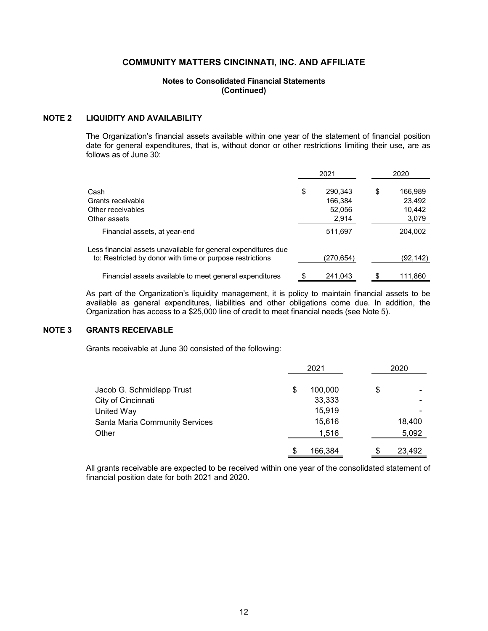#### **Notes to Consolidated Financial Statements (Continued)**

## **NOTE 2 LIQUIDITY AND AVAILABILITY**

The Organization's financial assets available within one year of the statement of financial position date for general expenditures, that is, without donor or other restrictions limiting their use, are as follows as of June 30:

|                                                                                                                             | 2021 |           |   | 2020     |
|-----------------------------------------------------------------------------------------------------------------------------|------|-----------|---|----------|
| Cash                                                                                                                        | \$   | 290.343   | S | 166.989  |
| Grants receivable                                                                                                           |      | 166,384   |   | 23.492   |
| Other receivables                                                                                                           |      | 52.056    |   | 10.442   |
| Other assets                                                                                                                |      | 2,914     |   | 3,079    |
| Financial assets, at year-end                                                                                               |      | 511,697   |   | 204,002  |
| Less financial assets unavailable for general expenditures due<br>to: Restricted by donor with time or purpose restrictions |      | (270,654) |   | (92,142) |
| Financial assets available to meet general expenditures                                                                     |      | 241,043   |   | 111,860  |

As part of the Organization's liquidity management, it is policy to maintain financial assets to be available as general expenditures, liabilities and other obligations come due. In addition, the Organization has access to a \$25,000 line of credit to meet financial needs (see Note 5).

# **NOTE 3 GRANTS RECEIVABLE**

Grants receivable at June 30 consisted of the following:

|                                       |   | 2021    |    |        |
|---------------------------------------|---|---------|----|--------|
| Jacob G. Schmidlapp Trust             | S | 100,000 | \$ |        |
| City of Cincinnati                    |   | 33,333  |    |        |
| United Way                            |   | 15,919  |    |        |
| <b>Santa Maria Community Services</b> |   | 15,616  |    | 18,400 |
| Other                                 |   | 1,516   |    | 5,092  |
|                                       | S | 166.384 | \$ | 23.492 |

All grants receivable are expected to be received within one year of the consolidated statement of financial position date for both 2021 and 2020.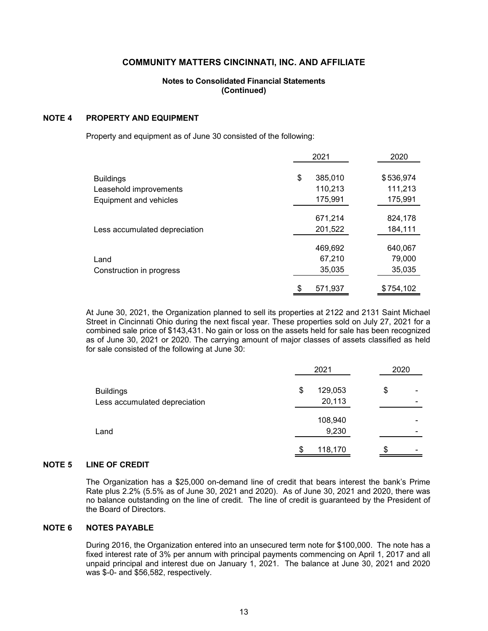#### **Notes to Consolidated Financial Statements (Continued)**

### **NOTE 4 PROPERTY AND EQUIPMENT**

Property and equipment as of June 30 consisted of the following:

|                               | 2021               | 2020               |
|-------------------------------|--------------------|--------------------|
| <b>Buildings</b>              | \$<br>385,010      | \$536,974          |
| Leasehold improvements        | 110,213            | 111,213            |
| Equipment and vehicles        | 175,991            | 175,991            |
| Less accumulated depreciation | 671,214<br>201,522 | 824,178<br>184,111 |
|                               | 469,692            | 640,067            |
| Land                          | 67,210             | 79,000             |
| Construction in progress      | 35,035             | 35,035             |
|                               | 571,937<br>\$      | \$754,102          |

At June 30, 2021, the Organization planned to sell its properties at 2122 and 2131 Saint Michael Street in Cincinnati Ohio during the next fiscal year. These properties sold on July 27, 2021 for a combined sale price of \$143,431. No gain or loss on the assets held for sale has been recognized as of June 30, 2021 or 2020. The carrying amount of major classes of assets classified as held for sale consisted of the following at June 30:

|                               | 2021          | 2020                           |
|-------------------------------|---------------|--------------------------------|
| <b>Buildings</b>              | 129,053<br>\$ | \$<br>$\overline{\phantom{0}}$ |
| Less accumulated depreciation | 20,113        |                                |
|                               | 108,940       |                                |
| Land                          | 9,230         |                                |
|                               | 118,170<br>S  | \$<br>-                        |

#### **NOTE 5 LINE OF CREDIT**

The Organization has a \$25,000 on-demand line of credit that bears interest the bank's Prime Rate plus 2.2% (5.5% as of June 30, 2021 and 2020). As of June 30, 2021 and 2020, there was no balance outstanding on the line of credit. The line of credit is guaranteed by the President of the Board of Directors.

### **NOTE 6 NOTES PAYABLE**

During 2016, the Organization entered into an unsecured term note for \$100,000. The note has a fixed interest rate of 3% per annum with principal payments commencing on April 1, 2017 and all unpaid principal and interest due on January 1, 2021. The balance at June 30, 2021 and 2020 was \$-0- and \$56,582, respectively.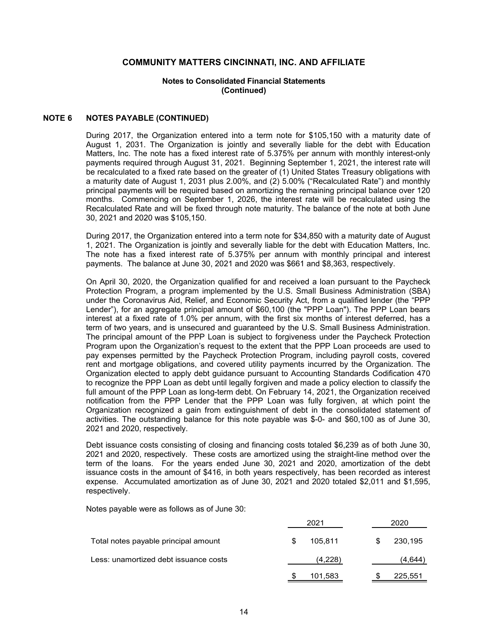#### **Notes to Consolidated Financial Statements (Continued)**

#### **NOTE 6 NOTES PAYABLE (CONTINUED)**

During 2017, the Organization entered into a term note for \$105,150 with a maturity date of August 1, 2031. The Organization is jointly and severally liable for the debt with Education Matters, Inc. The note has a fixed interest rate of 5.375% per annum with monthly interest-only payments required through August 31, 2021. Beginning September 1, 2021, the interest rate will be recalculated to a fixed rate based on the greater of (1) United States Treasury obligations with a maturity date of August 1, 2031 plus 2.00%, and (2) 5.00% ("Recalculated Rate") and monthly principal payments will be required based on amortizing the remaining principal balance over 120 months. Commencing on September 1, 2026, the interest rate will be recalculated using the Recalculated Rate and will be fixed through note maturity. The balance of the note at both June 30, 2021 and 2020 was \$105,150.

During 2017, the Organization entered into a term note for \$34,850 with a maturity date of August 1, 2021. The Organization is jointly and severally liable for the debt with Education Matters, Inc. The note has a fixed interest rate of 5.375% per annum with monthly principal and interest payments. The balance at June 30, 2021 and 2020 was \$661 and \$8,363, respectively.

On April 30, 2020, the Organization qualified for and received a loan pursuant to the Paycheck Protection Program, a program implemented by the U.S. Small Business Administration (SBA) under the Coronavirus Aid, Relief, and Economic Security Act, from a qualified lender (the "PPP Lender"), for an aggregate principal amount of \$60,100 (the "PPP Loan"). The PPP Loan bears interest at a fixed rate of 1.0% per annum, with the first six months of interest deferred, has a term of two years, and is unsecured and guaranteed by the U.S. Small Business Administration. The principal amount of the PPP Loan is subject to forgiveness under the Paycheck Protection Program upon the Organization's request to the extent that the PPP Loan proceeds are used to pay expenses permitted by the Paycheck Protection Program, including payroll costs, covered rent and mortgage obligations, and covered utility payments incurred by the Organization. The Organization elected to apply debt guidance pursuant to Accounting Standards Codification 470 to recognize the PPP Loan as debt until legally forgiven and made a policy election to classify the full amount of the PPP Loan as long-term debt. On February 14, 2021, the Organization received notification from the PPP Lender that the PPP Loan was fully forgiven, at which point the Organization recognized a gain from extinguishment of debt in the consolidated statement of activities. The outstanding balance for this note payable was \$-0- and \$60,100 as of June 30, 2021 and 2020, respectively.

Debt issuance costs consisting of closing and financing costs totaled \$6,239 as of both June 30, 2021 and 2020, respectively. These costs are amortized using the straight-line method over the term of the loans. For the years ended June 30, 2021 and 2020, amortization of the debt issuance costs in the amount of \$416, in both years respectively, has been recorded as interest expense. Accumulated amortization as of June 30, 2021 and 2020 totaled \$2,011 and \$1,595, respectively.

Notes payable were as follows as of June 30:

|                                       | 2021 |         |  | 2020    |  |  |
|---------------------------------------|------|---------|--|---------|--|--|
| Total notes payable principal amount  | æ.   | 105.811 |  | 230,195 |  |  |
| Less: unamortized debt issuance costs |      | (4,228) |  | (4,644) |  |  |
|                                       |      | 101,583 |  | 225,551 |  |  |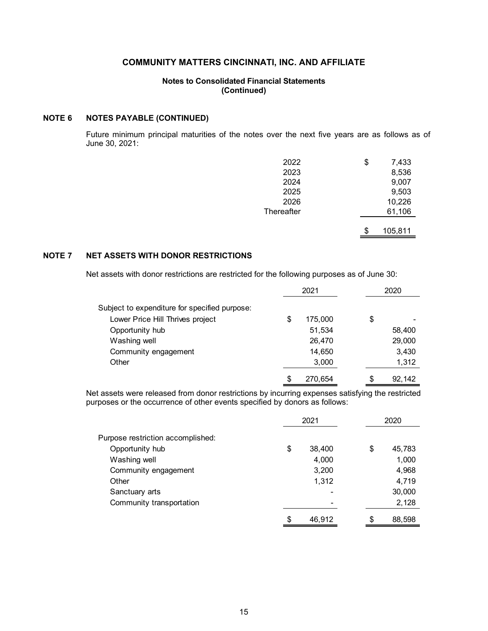#### **Notes to Consolidated Financial Statements (Continued)**

## **NOTE 6 NOTES PAYABLE (CONTINUED)**

Future minimum principal maturities of the notes over the next five years are as follows as of June 30, 2021:

| 2022       | \$<br>7,433 |
|------------|-------------|
| 2023       | 8,536       |
| 2024       | 9,007       |
| 2025       | 9,503       |
| 2026       | 10,226      |
| Thereafter | 61,106      |
|            |             |
|            | 105,811     |
|            |             |

# **NOTE 7 NET ASSETS WITH DONOR RESTRICTIONS**

Net assets with donor restrictions are restricted for the following purposes as of June 30:

|                                               | 2021          | 2020         |
|-----------------------------------------------|---------------|--------------|
| Subject to expenditure for specified purpose: |               |              |
| Lower Price Hill Thrives project              | \$<br>175,000 | \$           |
| Opportunity hub                               | 51,534        | 58,400       |
| Washing well                                  | 26,470        | 29,000       |
| Community engagement                          | 14,650        | 3,430        |
| Other                                         | 3,000         | 1,312        |
|                                               | \$<br>270,654 | \$<br>92,142 |

Net assets were released from donor restrictions by incurring expenses satisfying the restricted purposes or the occurrence of other events specified by donors as follows:

|                                   | 2021         |    | 2020   |
|-----------------------------------|--------------|----|--------|
| Purpose restriction accomplished: |              |    |        |
| Opportunity hub                   | \$<br>38,400 | \$ | 45,783 |
| Washing well                      | 4,000        |    | 1,000  |
| Community engagement              | 3,200        |    | 4,968  |
| Other                             | 1,312        |    | 4,719  |
| Sanctuary arts                    |              |    | 30,000 |
| Community transportation          |              |    | 2,128  |
|                                   | \$<br>46,912 | \$ | 88,598 |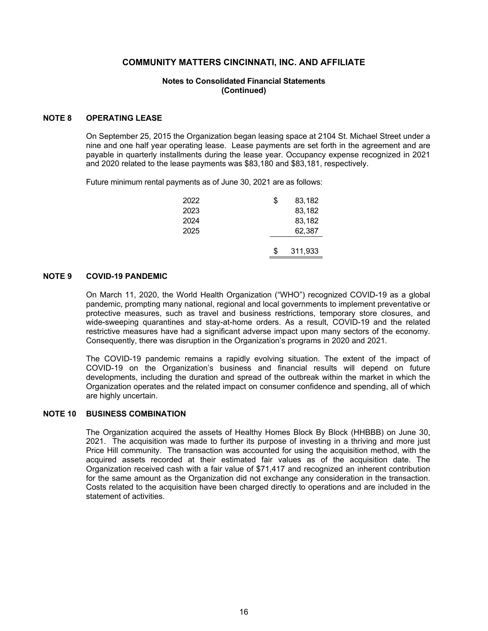#### **Notes to Consolidated Financial Statements (Continued)**

#### **NOTE 8 OPERATING LEASE**

On September 25, 2015 the Organization began leasing space at 2104 St. Michael Street under a nine and one half year operating lease. Lease payments are set forth in the agreement and are payable in quarterly installments during the lease year. Occupancy expense recognized in 2021 and 2020 related to the lease payments was \$83,180 and \$83,181, respectively.

Future minimum rental payments as of June 30, 2021 are as follows:

| 2022 | \$<br>83,182  |
|------|---------------|
| 2023 | 83,182        |
| 2024 | 83,182        |
| 2025 | 62,387        |
|      |               |
|      | \$<br>311,933 |

#### **NOTE 9 COVID-19 PANDEMIC**

On March 11, 2020, the World Health Organization ("WHO") recognized COVID-19 as a global pandemic, prompting many national, regional and local governments to implement preventative or protective measures, such as travel and business restrictions, temporary store closures, and wide-sweeping quarantines and stay-at-home orders. As a result, COVID-19 and the related restrictive measures have had a significant adverse impact upon many sectors of the economy. Consequently, there was disruption in the Organization's programs in 2020 and 2021.

The COVID-19 pandemic remains a rapidly evolving situation. The extent of the impact of COVID-19 on the Organization's business and financial results will depend on future developments, including the duration and spread of the outbreak within the market in which the Organization operates and the related impact on consumer confidence and spending, all of which are highly uncertain.

#### **NOTE 10 BUSINESS COMBINATION**

The Organization acquired the assets of Healthy Homes Block By Block (HHBBB) on June 30, 2021. The acquisition was made to further its purpose of investing in a thriving and more just Price Hill community. The transaction was accounted for using the acquisition method, with the acquired assets recorded at their estimated fair values as of the acquisition date. The Organization received cash with a fair value of \$71,417 and recognized an inherent contribution for the same amount as the Organization did not exchange any consideration in the transaction. Costs related to the acquisition have been charged directly to operations and are included in the statement of activities.